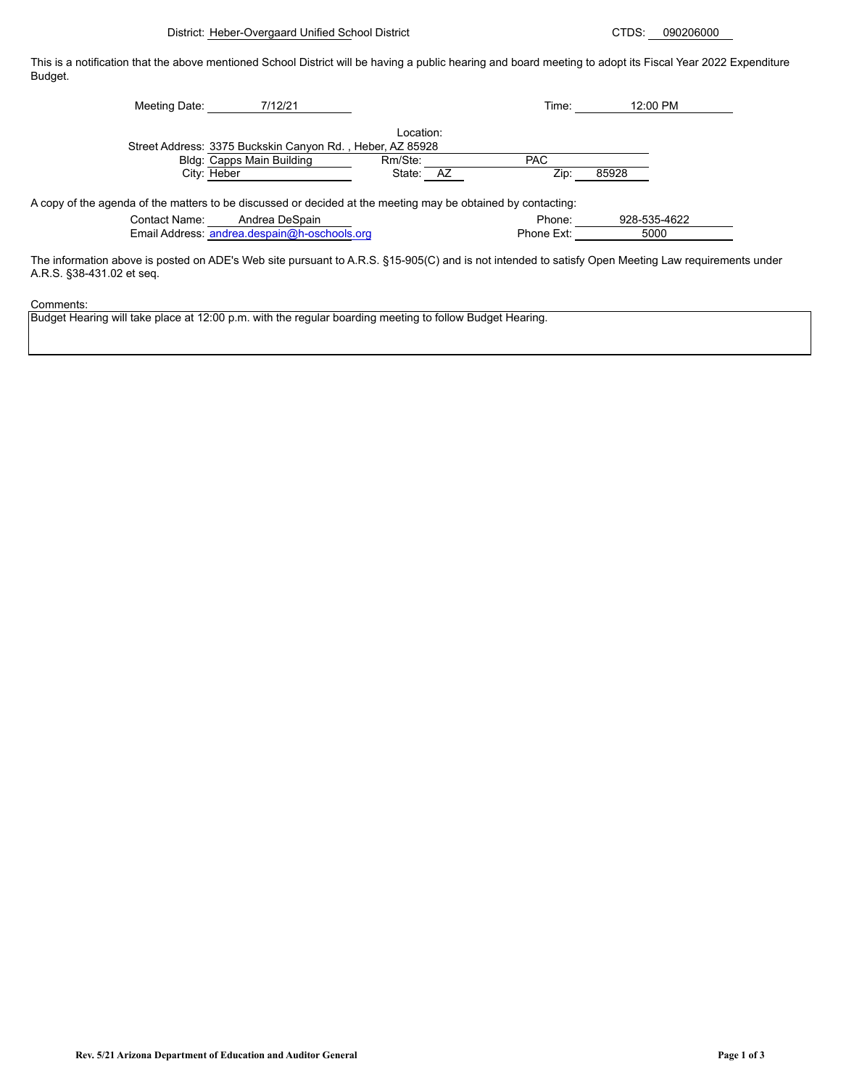This is a notification that the above mentioned School District will be having a public hearing and board meeting to adopt its Fiscal Year 2022 Expenditure Budget.

| 7/12/21<br>Meeting Date:                                                                                     |           | Time:      | 12:00 PM     |
|--------------------------------------------------------------------------------------------------------------|-----------|------------|--------------|
|                                                                                                              | Location: |            |              |
| Street Address: 3375 Buckskin Canyon Rd., Heber, AZ 85928                                                    |           |            |              |
| Bldg: Capps Main Building                                                                                    | Rm/Ste:   | <b>PAC</b> |              |
| City: Heber                                                                                                  | State: AZ | Zip:       | 85928        |
|                                                                                                              |           |            |              |
| A copy of the agenda of the matters to be discussed or decided at the meeting may be obtained by contacting: |           |            |              |
| Andrea DeSpain<br>Contact Name:                                                                              |           | Phone:     | 928-535-4622 |
| Email Address: andrea.despain@h-oschools.org                                                                 |           | Phone Ext: | 5000         |

The information above is posted on ADE's Web site pursuant to A.R.S. §15-905(C) and is not intended to satisfy Open Meeting Law requirements under A.R.S. §38-431.02 et seq.

Comments:

Budget Hearing will take place at 12:00 p.m. with the regular boarding meeting to follow Budget Hearing.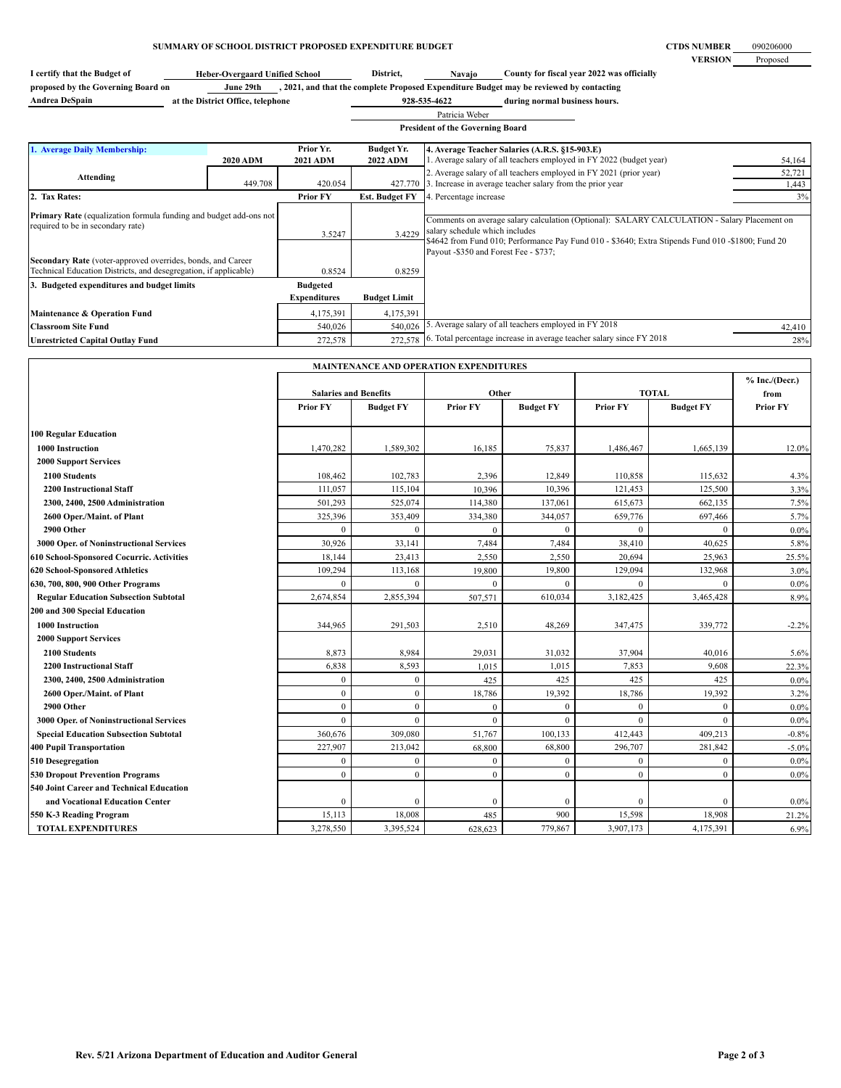## **SUMMARY OF SCHOOL DISTRICT PROPOSED EXPENDITURE BUDGET**

**I** certify that the Budget of **District All and All Property County County for fiscal year 2022 was officially** 

| proposed by the Governing Board on | June 29th                         | , 2021, and that the complete Proposed Expenditure Budget may be reviewed by contacting |                               |  |  |
|------------------------------------|-----------------------------------|-----------------------------------------------------------------------------------------|-------------------------------|--|--|
| <b>Andrea DeSpain</b>              | at the District Office, telephone | 928-535-4622                                                                            | during normal business hours. |  |  |

**during normal business hours. 928-535-4622** Patricia Weber 

| ---------------                         |  |
|-----------------------------------------|--|
| <b>President of the Governing Board</b> |  |

 $\sim$ 

| 1. Average Daily Membership:                                                                          |                                                                                                                                                      | Prior Yr.                 | <b>Budget Yr.</b>                                                                                                                                                                                                                                                            | 4. Average Teacher Salaries (A.R.S. §15-903.E)                     |        |
|-------------------------------------------------------------------------------------------------------|------------------------------------------------------------------------------------------------------------------------------------------------------|---------------------------|------------------------------------------------------------------------------------------------------------------------------------------------------------------------------------------------------------------------------------------------------------------------------|--------------------------------------------------------------------|--------|
|                                                                                                       | <b>2020 ADM</b>                                                                                                                                      | <b>2021 ADM</b>           | <b>2022 ADM</b>                                                                                                                                                                                                                                                              | Average salary of all teachers employed in FY 2022 (budget year)   | 54,164 |
| Attending                                                                                             |                                                                                                                                                      |                           |                                                                                                                                                                                                                                                                              | 2. Average salary of all teachers employed in FY 2021 (prior year) | 52,721 |
|                                                                                                       | 449.708                                                                                                                                              | 420.054                   | 427.770                                                                                                                                                                                                                                                                      | . Increase in average teacher salary from the prior year           | 1,443  |
| 2. Tax Rates:                                                                                         |                                                                                                                                                      | <b>Prior FY</b>           | <b>Est. Budget FY</b>                                                                                                                                                                                                                                                        | 4. Percentage increase                                             | 3%     |
| required to be in secondary rate)<br>Technical Education Districts, and desegregation, if applicable) | Primary Rate (equalization formula funding and budget add-ons not<br>3.4229<br>3.5247<br>Secondary Rate (voter-approved overrides, bonds, and Career |                           | Comments on average salary calculation (Optional): SALARY CALCULATION - Salary Placement on<br>salary schedule which includes<br>\$4642 from Fund 010; Performance Pay Fund 010 - \$3640; Extra Stipends Fund 010 - \$1800; Fund 20<br>Payout -\$350 and Forest Fee - \$737; |                                                                    |        |
| 3. Budgeted expenditures and budget limits                                                            |                                                                                                                                                      | 0.8524<br><b>Budgeted</b> | 0.8259                                                                                                                                                                                                                                                                       |                                                                    |        |
|                                                                                                       |                                                                                                                                                      | <b>Expenditures</b>       | <b>Budget Limit</b>                                                                                                                                                                                                                                                          |                                                                    |        |
| Maintenance & Operation Fund                                                                          |                                                                                                                                                      | 4,175,391                 | 4,175,391                                                                                                                                                                                                                                                                    |                                                                    |        |
| <b>Classroom Site Fund</b>                                                                            |                                                                                                                                                      | 540,026                   | 540,026                                                                                                                                                                                                                                                                      | Average salary of all teachers employed in FY 2018.                | 42,410 |
| <b>Unrestricted Capital Outlay Fund</b>                                                               |                                                                                                                                                      | 272,578                   | 272,578                                                                                                                                                                                                                                                                      | Total percentage increase in average teacher salary since FY 2018  | 28%    |

| MAINTENANCE AND OPERATION EXPENDITURES       |                              |                  |                 |                  |                 |                  |                 |
|----------------------------------------------|------------------------------|------------------|-----------------|------------------|-----------------|------------------|-----------------|
|                                              |                              |                  |                 |                  |                 | % Inc. / (Decr.) |                 |
|                                              | <b>Salaries and Benefits</b> |                  | Other           |                  | <b>TOTAL</b>    |                  | from            |
|                                              | <b>Prior FY</b>              | <b>Budget FY</b> | <b>Prior FY</b> | <b>Budget FY</b> | <b>Prior FY</b> | <b>Budget FY</b> | <b>Prior FY</b> |
| <b>100 Regular Education</b>                 |                              |                  |                 |                  |                 |                  |                 |
| 1000 Instruction                             | 1,470,282                    | 1,589,302        | 16,185          | 75,837           | 1,486,467       | 1,665,139        | 12.0%           |
| <b>2000 Support Services</b>                 |                              |                  |                 |                  |                 |                  |                 |
| 2100 Students                                | 108,462                      | 102,783          | 2,396           | 12,849           | 110,858         | 115,632          | 4.3%            |
| <b>2200 Instructional Staff</b>              | 111,057                      | 115.104          | 10,396          | 10,396           | 121,453         | 125,500          | 3.3%            |
| 2300, 2400, 2500 Administration              | 501,293                      | 525,074          | 114,380         | 137,061          | 615,673         | 662,135          | 7.5%            |
| 2600 Oper./Maint. of Plant                   | 325,396                      | 353,409          | 334,380         | 344,057          | 659,776         | 697,466          | 5.7%            |
| 2900 Other                                   | $\theta$                     | $\Omega$         | $\theta$        | $\mathbf{0}$     | $\theta$        | $\theta$         | $0.0\%$         |
| 3000 Oper. of Noninstructional Services      | 30,926                       | 33,141           | 7,484           | 7,484            | 38,410          | 40,625           | 5.8%            |
| 610 School-Sponsored Cocurric. Activities    | 18,144                       | 23,413           | 2,550           | 2,550            | 20,694          | 25,963           | 25.5%           |
| 620 School-Sponsored Athletics               | 109,294                      | 113,168          | 19,800          | 19,800           | 129,094         | 132,968          | 3.0%            |
| 630, 700, 800, 900 Other Programs            |                              |                  | $\theta$        | $\theta$         | $\Omega$        | $\Omega$         | 0.0%            |
| <b>Regular Education Subsection Subtotal</b> | 2,674,854                    | 2,855,394        | 507,571         | 610,034          | 3,182,425       | 3,465,428        | 8.9%            |
| 200 and 300 Special Education                |                              |                  |                 |                  |                 |                  |                 |
| <b>1000 Instruction</b>                      | 344,965                      | 291,503          | 2,510           | 48,269           | 347,475         | 339,772          | $-2.2%$         |
| <b>2000 Support Services</b>                 |                              |                  |                 |                  |                 |                  |                 |
| 2100 Students                                | 8,873                        | 8,984            | 29,031          | 31,032           | 37,904          | 40,016           | 5.6%            |
| <b>2200 Instructional Staff</b>              | 6,838                        | 8,593            | 1,015           | 1,015            | 7,853           | 9,608            | 22.3%           |
| 2300, 2400, 2500 Administration              | $\Omega$                     | $\mathbf{0}$     | 425             | 425              | 425             | 425              | 0.0%            |
| 2600 Oper./Maint. of Plant                   | $\mathbf{0}$                 | $\overline{0}$   | 18,786          | 19,392           | 18,786          | 19,392           | 3.2%            |
| 2900 Other                                   | $\Omega$                     | $\theta$         | $\mathbf{0}$    | $\mathbf{0}$     | $\mathbf{0}$    | $\mathbf{0}$     | 0.0%            |
| 3000 Oper. of Noninstructional Services      | $\theta$                     | $\theta$         | $\mathbf{0}$    | $\mathbf{0}$     | $\theta$        | $\mathbf{0}$     | $0.0\%$         |
| <b>Special Education Subsection Subtotal</b> | 360,676                      | 309,080          | 51,767          | 100,133          | 412,443         | 409,213          | $-0.8%$         |
| <b>400 Pupil Transportation</b>              | 227,907                      | 213,042          | 68,800          | 68,800           | 296,707         | 281,842          | $-5.0%$         |
| 510 Desegregation                            | $\Omega$                     | $\Omega$         | $\mathbf{0}$    | $\theta$         | $\theta$        | $\mathbf{0}$     | 0.0%            |
| <b>530 Dropout Prevention Programs</b>       | $\theta$                     | $\theta$         | $\mathbf{0}$    | $\theta$         | $\theta$        | $\theta$         | 0.0%            |
| 540 Joint Career and Technical Education     |                              |                  |                 |                  |                 |                  |                 |
| and Vocational Education Center              | $\Omega$                     |                  | $\mathbf{0}$    | $\mathbf{0}$     | $\mathbf{0}$    | $\mathbf{0}$     | $0.0\%$         |
| 550 K-3 Reading Program                      | 15,113                       | 18,008           | 485             | 900              | 15,598          | 18,908           | 21.2%           |
| <b>TOTAL EXPENDITURES</b>                    | 3,278,550                    | 3,395,524        | 628,623         | 779,867          | 3,907,173       | 4,175,391        | 6.9%            |